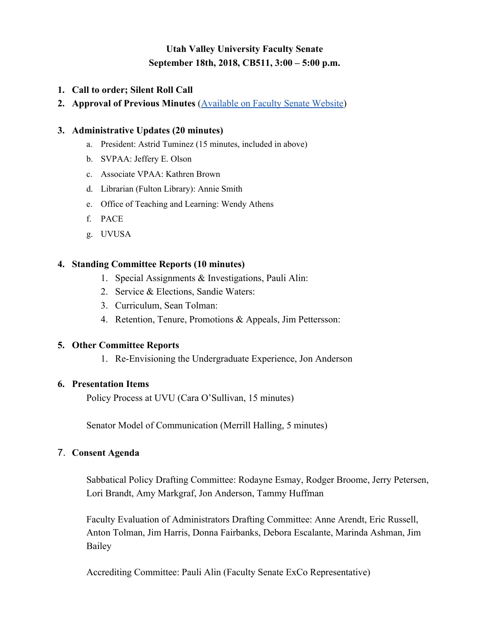# **Utah Valley University Faculty Senate September 18th, 2018, CB511, 3:00 – 5:00 p.m.**

### **1. Call to order; Silent Roll Call**

**2. Approval of Previous Minutes** [\(Available on Faculty Senate Website](http://www.uvu.edu/facsenate/minutes/index.html))

#### **3. Administrative Updates (20 minutes)**

- a. President: Astrid Tuminez (15 minutes, included in above)
- b. SVPAA: Jeffery E. Olson
- c. Associate VPAA: Kathren Brown
- d. Librarian (Fulton Library): Annie Smith
- e. Office of Teaching and Learning: Wendy Athens
- f. PACE
- g. UVUSA

#### **4. Standing Committee Reports (10 minutes)**

- 1. Special Assignments & Investigations, Pauli Alin:
- 2. Service & Elections, Sandie Waters:
- 3. Curriculum, Sean Tolman:
- 4. Retention, Tenure, Promotions & Appeals, Jim Pettersson:

#### **5. Other Committee Reports**

1. Re-Envisioning the Undergraduate Experience, Jon Anderson

#### **6. Presentation Items**

Policy Process at UVU (Cara O'Sullivan, 15 minutes)

Senator Model of Communication (Merrill Halling, 5 minutes)

# 7. **Consent Agenda**

Sabbatical Policy Drafting Committee: Rodayne Esmay, Rodger Broome, Jerry Petersen, Lori Brandt, Amy Markgraf, Jon Anderson, Tammy Huffman

Faculty Evaluation of Administrators Drafting Committee: Anne Arendt, Eric Russell, Anton Tolman, Jim Harris, Donna Fairbanks, Debora Escalante, Marinda Ashman, Jim Bailey

Accrediting Committee: Pauli Alin (Faculty Senate ExCo Representative)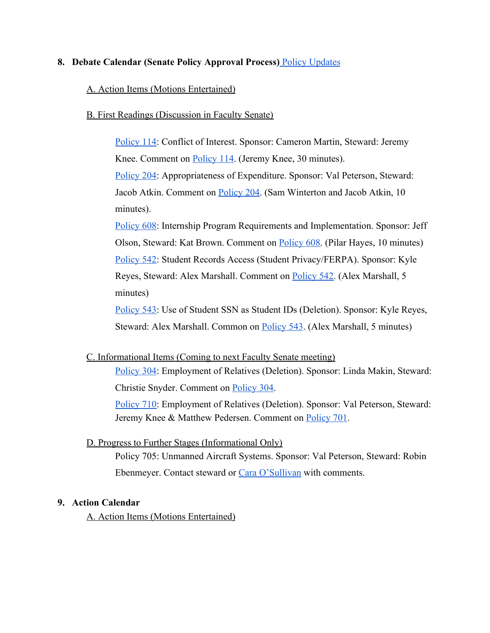#### **8. Debate Calendar (Senate Policy Approval Process)** [Policy Updates](https://docs.google.com/spreadsheets/d/1ogUOTkybP9_EBAc8SQE8kPQCDdWt1J8k9rRKaPPWX5Y/edit#gid=0)

#### A. Action Items (Motions Entertained)

B. First Readings (Discussion in Faculty Senate)

[Policy 114:](https://policy.uvu.edu/getDisplayFile/5750edfc97e4c89872d95667) Conflict of Interest. Sponsor: Cameron Martin, Steward: Jeremy Knee. Comment on **[Policy 114](https://docs.google.com/document/d/12rHjw8oK4n8NpUW5D0kdzkTm3p8gmB0p8SRM-X5VCsA/edit?usp=sharing)**. (Jeremy Knee, 30 minutes). [Policy 204:](https://policy.uvu.edu/getDisplayFile/5750f3b597e4c89872d95677) Appropriateness of Expenditure. Sponsor: Val Peterson, Steward: Jacob Atkin. Comment on [Policy 204.](https://docs.google.com/document/d/1swhRT0fhsGO4Tm1sJpMU3wzql1meugxXk683Z3v1WaM/edit?usp=sharing) (Sam Winterton and Jacob Atkin, 10 minutes).

[Policy 608:](https://policy.uvu.edu/getDisplayFile/59a85ccf568009ec588136ff) Internship Program Requirements and Implementation. Sponsor: Jeff Olson, Steward: Kat Brown. Comment on [Policy 608](https://docs.google.com/document/d/104BaCgzE6enwdXVG_xb14-eBJ6YpTWscXfeSr41FhMA/edit?usp=sharing). (Pilar Hayes, 10 minutes) [Policy 542:](https://policy.uvu.edu/getDisplayFile/59f24d4f02c8709e04dcd10f) Student Records Access (Student Privacy/FERPA). Sponsor: Kyle Reyes, Steward: Alex Marshall. Comment on [Policy 542.](https://docs.google.com/document/d/1D6YCH3nnrOo2U54VVy0ySAQg8YZA0V1Wx5x5Jgpi-RI/edit?usp=sharing) (Alex Marshall, 5 minutes)

[Policy 543:](https://policy.uvu.edu/getDisplayFile/59f24de302c8709e04dcd111) Use of Student SSN as Student IDs (Deletion). Sponsor: Kyle Reyes, Steward: Alex Marshall. Common on [Policy 543.](https://docs.google.com/document/d/19r-GR9-CAoFt_4jFVRNjoGydl0iuCG8PCVKQSqgySQ8/edit?usp=sharing) (Alex Marshall, 5 minutes)

C. Informational Items (Coming to next Faculty Senate meeting)

[Policy 304:](https://policy.uvu.edu/getDisplayFile/57dad24ed4504c980ebddbf9) Employment of Relatives (Deletion). Sponsor: Linda Makin, Steward: Christie Snyder. Comment on [Policy 304.](https://docs.google.com/document/d/1JLFDy3FTkYw1h6dnL8udFrnvt9DF07dQ4T8-9wJtzuU)

[Policy 710:](https://policy.uvu.edu/getDisplayFile/5b3a9eb4f799418820def7d0) Employment of Relatives (Deletion). Sponsor: Val Peterson, Steward: Jeremy Knee & Matthew Pedersen. Comment on [Policy 701](https://docs.google.com/document/d/1EzP-OPmXuk4jmVXohdgm37WZeQlUr32O1zslMt1xJL4).

#### D. Progress to Further Stages (Informational Only)

Policy 705: Unmanned Aircraft Systems. Sponsor: Val Peterson, Steward: Robin Ebenmeyer. Contact steward or [Cara O'Sullivan](mailto:Cara.OSullivan@uvu.edu) with comments.

# **9. Action Calendar**

A. Action Items (Motions Entertained)